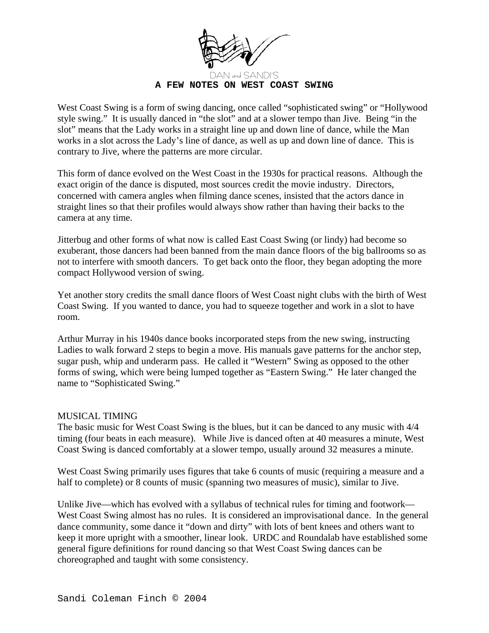

West Coast Swing is a form of swing dancing, once called "sophisticated swing" or "Hollywood style swing." It is usually danced in "the slot" and at a slower tempo than Jive. Being "in the slot" means that the Lady works in a straight line up and down line of dance, while the Man works in a slot across the Lady's line of dance, as well as up and down line of dance. This is contrary to Jive, where the patterns are more circular.

This form of dance evolved on the West Coast in the 1930s for practical reasons. Although the exact origin of the dance is disputed, most sources credit the movie industry. Directors, concerned with camera angles when filming dance scenes, insisted that the actors dance in straight lines so that their profiles would always show rather than having their backs to the camera at any time.

Jitterbug and other forms of what now is called East Coast Swing (or lindy) had become so exuberant, those dancers had been banned from the main dance floors of the big ballrooms so as not to interfere with smooth dancers. To get back onto the floor, they began adopting the more compact Hollywood version of swing.

Yet another story credits the small dance floors of West Coast night clubs with the birth of West Coast Swing. If you wanted to dance, you had to squeeze together and work in a slot to have room.

Arthur Murray in his 1940s dance books incorporated steps from the new swing, instructing Ladies to walk forward 2 steps to begin a move. His manuals gave patterns for the anchor step, sugar push, whip and underarm pass. He called it "Western" Swing as opposed to the other forms of swing, which were being lumped together as "Eastern Swing." He later changed the name to "Sophisticated Swing."

## MUSICAL TIMING

The basic music for West Coast Swing is the blues, but it can be danced to any music with 4/4 timing (four beats in each measure). While Jive is danced often at 40 measures a minute, West Coast Swing is danced comfortably at a slower tempo, usually around 32 measures a minute.

West Coast Swing primarily uses figures that take 6 counts of music (requiring a measure and a half to complete) or 8 counts of music (spanning two measures of music), similar to Jive.

Unlike Jive—which has evolved with a syllabus of technical rules for timing and footwork— West Coast Swing almost has no rules. It is considered an improvisational dance. In the general dance community, some dance it "down and dirty" with lots of bent knees and others want to keep it more upright with a smoother, linear look. URDC and Roundalab have established some general figure definitions for round dancing so that West Coast Swing dances can be choreographed and taught with some consistency.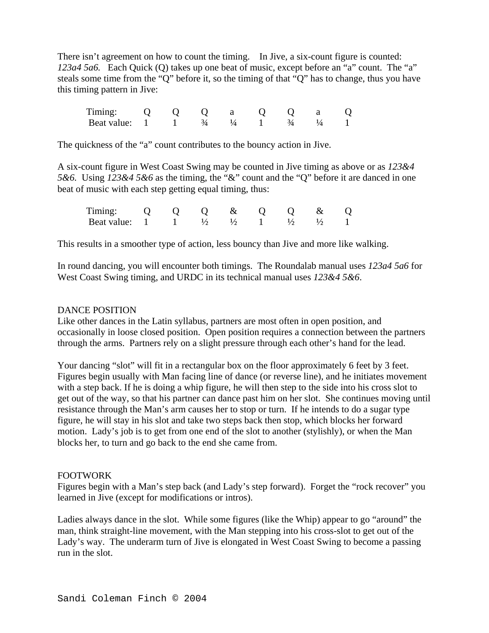There isn't agreement on how to count the timing. In Jive, a six-count figure is counted: *123a4 5a6.* Each Quick (Q) takes up one beat of music, except before an "a" count. The "a" steals some time from the "Q" before it, so the timing of that "Q" has to change, thus you have this timing pattern in Jive:

| $11$ m $1$ n $\sigma$ |                  |  |  |                   |  |
|-----------------------|------------------|--|--|-------------------|--|
| Beat value:           | and the contract |  |  | $\mathcal{L}_{A}$ |  |

The quickness of the "a" count contributes to the bouncy action in Jive.

A six-count figure in West Coast Swing may be counted in Jive timing as above or as *123&4 5&6.* Using *123&4 5&6* as the timing, the "&" count and the "Q" before it are danced in one beat of music with each step getting equal timing, thus:

| Timing: $0 \t 0 \t 0 \t \& \t 0 \t 0 \t \& \t 0$           |  |  |  |  |
|------------------------------------------------------------|--|--|--|--|
| Beat value: $1 \t 1 \t 1/2 \t 1/2 \t 1 \t 1/2 \t 1/2 \t 1$ |  |  |  |  |

This results in a smoother type of action, less bouncy than Jive and more like walking.

In round dancing, you will encounter both timings. The Roundalab manual uses *123a4 5a6* for West Coast Swing timing, and URDC in its technical manual uses *123&4 5&6*.

#### DANCE POSITION

Like other dances in the Latin syllabus, partners are most often in open position, and occasionally in loose closed position. Open position requires a connection between the partners through the arms. Partners rely on a slight pressure through each other's hand for the lead.

Your dancing "slot" will fit in a rectangular box on the floor approximately 6 feet by 3 feet. Figures begin usually with Man facing line of dance (or reverse line), and he initiates movement with a step back. If he is doing a whip figure, he will then step to the side into his cross slot to get out of the way, so that his partner can dance past him on her slot. She continues moving until resistance through the Man's arm causes her to stop or turn. If he intends to do a sugar type figure, he will stay in his slot and take two steps back then stop, which blocks her forward motion. Lady's job is to get from one end of the slot to another (stylishly), or when the Man blocks her, to turn and go back to the end she came from.

#### FOOTWORK

Figures begin with a Man's step back (and Lady's step forward). Forget the "rock recover" you learned in Jive (except for modifications or intros).

Ladies always dance in the slot. While some figures (like the Whip) appear to go "around" the man, think straight-line movement, with the Man stepping into his cross-slot to get out of the Lady's way. The underarm turn of Jive is elongated in West Coast Swing to become a passing run in the slot.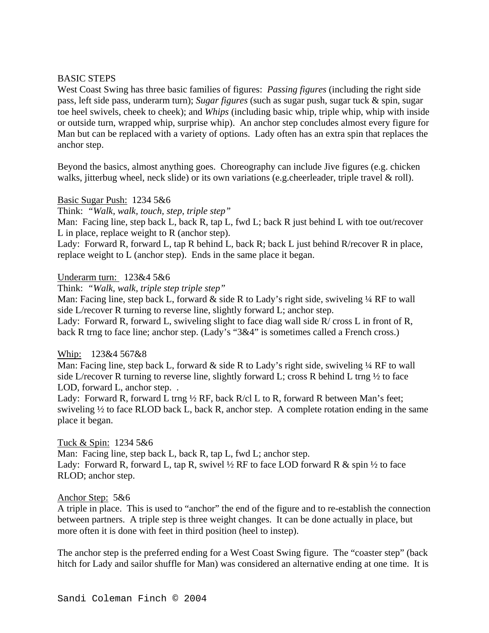## BASIC STEPS

West Coast Swing has three basic families of figures: *Passing figures* (including the right side pass, left side pass, underarm turn); *Sugar figures* (such as sugar push, sugar tuck & spin, sugar toe heel swivels, cheek to cheek); and *Whips* (including basic whip, triple whip, whip with inside or outside turn, wrapped whip, surprise whip). An anchor step concludes almost every figure for Man but can be replaced with a variety of options. Lady often has an extra spin that replaces the anchor step.

Beyond the basics, almost anything goes. Choreography can include Jive figures (e.g. chicken walks, jitterbug wheel, neck slide) or its own variations (e.g.cheerleader, triple travel & roll).

## Basic Sugar Push: 1234 5&6

Think: *"Walk, walk, touch, step, triple step"*

Man: Facing line, step back L, back R, tap L, fwd L; back R just behind L with toe out/recover L in place, replace weight to R (anchor step).

Lady: Forward R, forward L, tap R behind L, back R; back L just behind R/recover R in place, replace weight to L (anchor step). Ends in the same place it began.

#### Underarm turn: 123&4 5&6

Think: *"Walk, walk, triple step triple step"*

Man: Facing line, step back L, forward  $\&$  side R to Lady's right side, swiveling  $\frac{1}{4}$  RF to wall side L/recover R turning to reverse line, slightly forward L; anchor step.

Lady: Forward R, forward L, swiveling slight to face diag wall side R/ cross L in front of R, back R trng to face line; anchor step. (Lady's "3&4" is sometimes called a French cross.)

## Whip: 123&4 567&8

Man: Facing line, step back L, forward  $\&$  side R to Lady's right side, swiveling  $\frac{1}{4}$  RF to wall side L/recover R turning to reverse line, slightly forward L; cross R behind L trng  $\frac{1}{2}$  to face LOD, forward L, anchor step...

Lady: Forward R, forward L trng 1/2 RF, back R/cl L to R, forward R between Man's feet; swiveling ½ to face RLOD back L, back R, anchor step. A complete rotation ending in the same place it began.

## Tuck & Spin: 1234 5&6

Man: Facing line, step back L, back R, tap L, fwd L; anchor step. Lady: Forward R, forward L, tap R, swivel  $\frac{1}{2}$  RF to face LOD forward R & spin  $\frac{1}{2}$  to face RLOD; anchor step.

## Anchor Step: 5&6

A triple in place. This is used to "anchor" the end of the figure and to re-establish the connection between partners. A triple step is three weight changes. It can be done actually in place, but more often it is done with feet in third position (heel to instep).

The anchor step is the preferred ending for a West Coast Swing figure. The "coaster step" (back hitch for Lady and sailor shuffle for Man) was considered an alternative ending at one time. It is